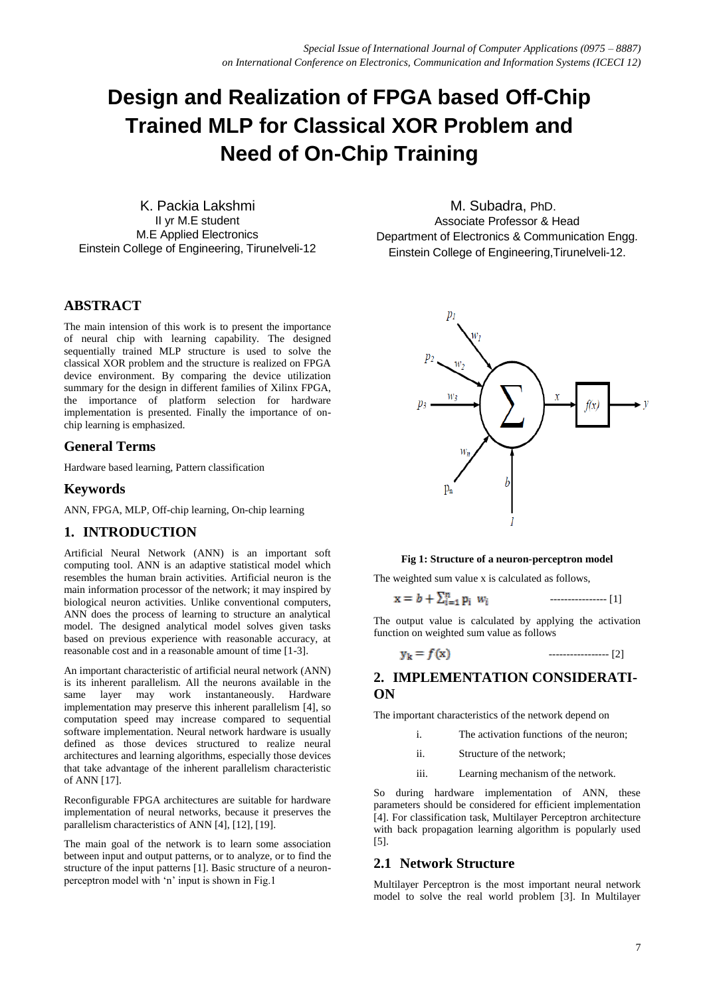# **Design and Realization of FPGA based Off-Chip Trained MLP for Classical XOR Problem and Need of On-Chip Training**

K. Packia Lakshmi II yr M.E student M.E Applied Electronics Einstein College of Engineering, Tirunelveli-12

#### **ABSTRACT**

The main intension of this work is to present the importance of neural chip with learning capability. The designed sequentially trained MLP structure is used to solve the classical XOR problem and the structure is realized on FPGA device environment. By comparing the device utilization summary for the design in different families of Xilinx FPGA, the importance of platform selection for hardware implementation is presented. Finally the importance of onchip learning is emphasized.

#### **General Terms**

Hardware based learning, Pattern classification

#### **Keywords**

ANN, FPGA, MLP, Off-chip learning, On-chip learning

## **1. INTRODUCTION**

Artificial Neural Network (ANN) is an important soft computing tool. ANN is an adaptive statistical model which resembles the human brain activities. Artificial neuron is the main information processor of the network; it may inspired by biological neuron activities. Unlike conventional computers, ANN does the process of learning to structure an analytical model. The designed analytical model solves given tasks based on previous experience with reasonable accuracy, at reasonable cost and in a reasonable amount of time [1-3].

An important characteristic of artificial neural network (ANN) is its inherent parallelism. All the neurons available in the same layer may work instantaneously. Hardware implementation may preserve this inherent parallelism [4], so computation speed may increase compared to sequential software implementation. Neural network hardware is usually defined as those devices structured to realize neural architectures and learning algorithms, especially those devices that take advantage of the inherent parallelism characteristic of ANN [17].

Reconfigurable FPGA architectures are suitable for hardware implementation of neural networks, because it preserves the parallelism characteristics of ANN [4], [12], [19].

The main goal of the network is to learn some association between input and output patterns, or to analyze, or to find the structure of the input patterns [1]. Basic structure of a neuronperceptron model with 'n' input is shown in Fig.1

 M. Subadra, PhD. Associate Professor & Head Department of Electronics & Communication Engg. Einstein College of Engineering,Tirunelveli-12.



#### **Fig 1: Structure of a neuron-perceptron model**

The weighted sum value x is calculated as follows,

---------------- [1]

The output value is calculated by applying the activation function on weighted sum value as follows

$$
r_{k} = f(x) \tag{2}
$$

## **2. IMPLEMENTATION CONSIDERATI-ON**

The important characteristics of the network depend on

- i. The activation functions of the neuron;
- ii. Structure of the network;
- iii. Learning mechanism of the network.

So during hardware implementation of ANN, these parameters should be considered for efficient implementation [4]. For classification task, Multilayer Perceptron architecture with back propagation learning algorithm is popularly used [5].

#### **2.1 Network Structure**

Multilayer Perceptron is the most important neural network model to solve the real world problem [3]. In Multilayer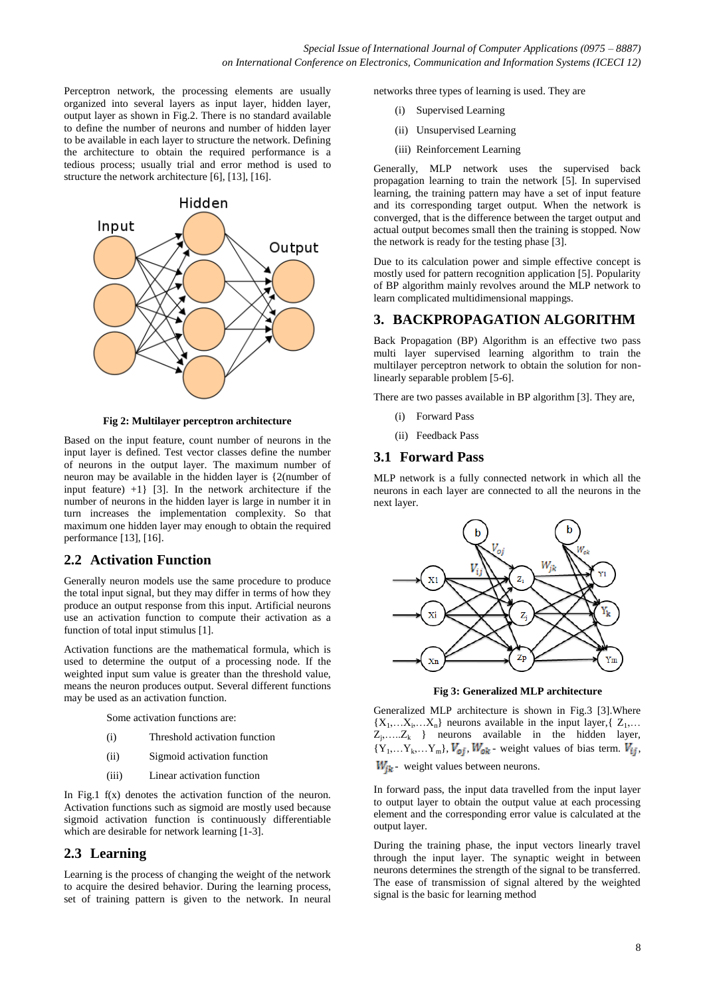Perceptron network, the processing elements are usually organized into several layers as input layer, hidden layer, output layer as shown in Fig.2. There is no standard available to define the number of neurons and number of hidden layer to be available in each layer to structure the network. Defining the architecture to obtain the required performance is a tedious process; usually trial and error method is used to structure the network architecture [6], [13], [16].



**Fig 2: Multilayer perceptron architecture**

Based on the input feature, count number of neurons in the input layer is defined. Test vector classes define the number of neurons in the output layer. The maximum number of neuron may be available in the hidden layer is {2(number of input feature) +1} [3]. In the network architecture if the number of neurons in the hidden layer is large in number it in turn increases the implementation complexity. So that maximum one hidden layer may enough to obtain the required performance [13], [16].

## **2.2 Activation Function**

Generally neuron models use the same procedure to produce the total input signal, but they may differ in terms of how they produce an output response from this input. Artificial neurons use an activation function to compute their activation as a function of total input stimulus [1].

Activation functions are the mathematical formula, which is used to determine the output of a processing node. If the weighted input sum value is greater than the threshold value, means the neuron produces output. Several different functions may be used as an activation function.

Some activation functions are:

- (i) Threshold activation function
- (ii) Sigmoid activation function
- (iii) Linear activation function

In Fig.1 f(x) denotes the activation function of the neuron. Activation functions such as sigmoid are mostly used because sigmoid activation function is continuously differentiable which are desirable for network learning [1-3].

## **2.3 Learning**

Learning is the process of changing the weight of the network to acquire the desired behavior. During the learning process, set of training pattern is given to the network. In neural networks three types of learning is used. They are

- (i) Supervised Learning
- (ii) Unsupervised Learning
- (iii) Reinforcement Learning

Generally, MLP network uses the supervised back propagation learning to train the network [5]. In supervised learning, the training pattern may have a set of input feature and its corresponding target output. When the network is converged, that is the difference between the target output and actual output becomes small then the training is stopped. Now the network is ready for the testing phase [3].

Due to its calculation power and simple effective concept is mostly used for pattern recognition application [5]. Popularity of BP algorithm mainly revolves around the MLP network to learn complicated multidimensional mappings.

#### **3. BACKPROPAGATION ALGORITHM**

Back Propagation (BP) Algorithm is an effective two pass multi layer supervised learning algorithm to train the multilayer perceptron network to obtain the solution for nonlinearly separable problem [5-6].

There are two passes available in BP algorithm [3]. They are,

- (i) Forward Pass
- (ii) Feedback Pass

#### **3.1 Forward Pass**

MLP network is a fully connected network in which all the neurons in each layer are connected to all the neurons in the next layer.



**Fig 3: Generalized MLP architecture**

Generalized MLP architecture is shown in Fig.3 [3].Where  ${X_1,...X_i,...X_n}$  neurons available in the input layer, { $Z_1,...$  $Z_j, \ldots, Z_k$  } neurons available in the hidden layer,  ${Y_1,...Y_k,...Y_m}$ ,  $V_{oj}$ ,  $W_{ok}$  - weight values of bias term.  $V_{ij}$ ,  $W_{ik}$  - weight values between neurons.

In forward pass, the input data travelled from the input layer to output layer to obtain the output value at each processing element and the corresponding error value is calculated at the output layer.

During the training phase, the input vectors linearly travel through the input layer. The synaptic weight in between neurons determines the strength of the signal to be transferred. The ease of transmission of signal altered by the weighted signal is the basic for learning method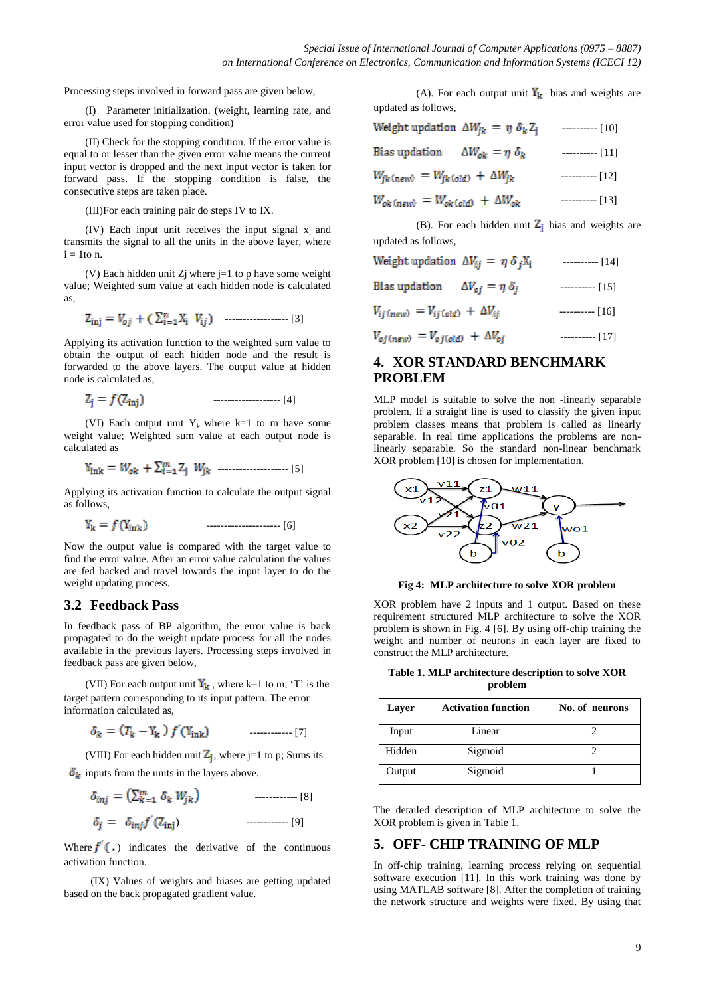Processing steps involved in forward pass are given below,

(I) Parameter initialization. (weight, learning rate, and error value used for stopping condition)

(II) Check for the stopping condition. If the error value is equal to or lesser than the given error value means the current input vector is dropped and the next input vector is taken for forward pass. If the stopping condition is false, the consecutive steps are taken place.

(III)For each training pair do steps IV to IX.

(IV) Each input unit receives the input signal  $x_i$  and transmits the signal to all the units in the above layer, where  $i = 1$ to n.

(V) Each hidden unit  $Z_j$  where  $j=1$  to p have some weight value; Weighted sum value at each hidden node is calculated as,

------------------ [3]

Applying its activation function to the weighted sum value to obtain the output of each hidden node and the result is forwarded to the above layers. The output value at hidden node is calculated as,

$$
Z_j = f(Z_{\text{inj}}) \tag{4}
$$

(VI) Each output unit  $Y_k$  where k=1 to m have some weight value; Weighted sum value at each output node is calculated as

$$
Y_{ink} = W_{ok} + \sum_{i=1}^{m} Z_i W_{jk}
$$
 [5]

Applying its activation function to calculate the output signal as follows,

--------------------- [6]

Now the output value is compared with the target value to find the error value. After an error value calculation the values are fed backed and travel towards the input layer to do the weight updating process.

#### **3.2 Feedback Pass**

In feedback pass of BP algorithm, the error value is back propagated to do the weight update process for all the nodes available in the previous layers. Processing steps involved in feedback pass are given below,

(VII) For each output unit  $Y_k$ , where k=1 to m; 'T' is the target pattern corresponding to its input pattern. The error information calculated as,

$$
\delta_k = (T_k - Y_k) f'(Y_{ink}) \qquad \qquad \dots \dots \dots \dots \tag{7}
$$

(VIII) For each hidden unit  $Z_j$ , where j=1 to p; Sums its

 $\delta_k$  inputs from the units in the layers above.

------------ [8]

) ------------ [9]

Where  $f'(\cdot)$  indicates the derivative of the continuous activation function.

 (IX) Values of weights and biases are getting updated based on the back propagated gradient value.

(A). For each output unit  $Y_k$  bias and weights are updated as follows,

| Weight updation $\Delta W_{ik} = \eta \delta_k Z_i$              | $------$ [10] |
|------------------------------------------------------------------|---------------|
| Bias updation $\Delta W_{ok} = \eta \delta_k$                    | $------[11]$  |
| $W_{jk}$ (new) = $W_{jk}$ (old) + $\Delta W_{jk}$                | $------[12]$  |
| $W_{ok \, (new)} = W_{ok \, (old)} + \Delta W_{ok}$              | $------[13]$  |
| $(D)$ . Easy such hidden such $\overline{7}$ , himself such that |               |

(B). For each hidden unit  $Z_i$  bias and weights are updated as follows,

| Weight updation $\Delta V_{ij} = \eta \delta_i X_i$         | $------$ [14] |
|-------------------------------------------------------------|---------------|
| Bias updation $\Delta V_{oi} = \eta \, \delta_i$            | $------[15]$  |
| $V_{ij \text{(new)}} = V_{ij \text{(old)}} + \Delta V_{ij}$ | $------[16]$  |
| $V_{oj \, (new)} = V_{oj \, (old)} + \Delta V_{oj}$         | $------[17]$  |

## **4. XOR STANDARD BENCHMARK PROBLEM**

MLP model is suitable to solve the non -linearly separable problem. If a straight line is used to classify the given input problem classes means that problem is called as linearly separable. In real time applications the problems are nonlinearly separable. So the standard non-linear benchmark XOR problem [10] is chosen for implementation.



**Fig 4: MLP architecture to solve XOR problem**

XOR problem have 2 inputs and 1 output. Based on these requirement structured MLP architecture to solve the XOR problem is shown in Fig. 4 [6]. By using off-chip training the weight and number of neurons in each layer are fixed to construct the MLP architecture.

**Table 1. MLP architecture description to solve XOR problem**

| Layer  | <b>Activation function</b> | No. of neurons |
|--------|----------------------------|----------------|
| Input  | Linear                     |                |
| Hidden | Sigmoid                    |                |
| Output | Sigmoid                    |                |

The detailed description of MLP architecture to solve the XOR problem is given in Table 1.

#### **5. OFF- CHIP TRAINING OF MLP**

In off-chip training, learning process relying on sequential software execution [11]. In this work training was done by using MATLAB software [8]. After the completion of training the network structure and weights were fixed. By using that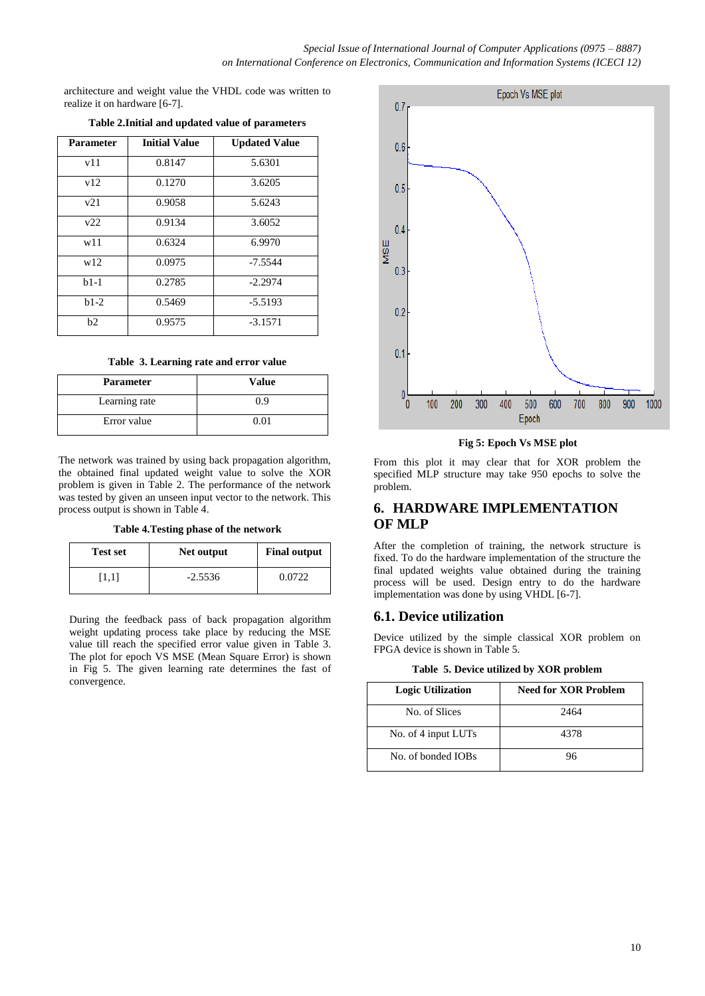architecture and weight value the VHDL code was written to realize it on hardware [6-7].

| <b>Parameter</b> | <b>Initial Value</b> | <b>Updated Value</b> |
|------------------|----------------------|----------------------|
| v11              | 0.8147               | 5.6301               |
| v12              | 0.1270               | 3.6205               |
| v21              | 0.9058               | 5.6243               |
| v22              | 0.9134               | 3.6052               |
| w11              | 0.6324               | 6.9970               |
| w12              | 0.0975               | $-7.5544$            |
| $b1-1$           | 0.2785               | $-2.2974$            |
| $b1-2$           | 0.5469               | $-5.5193$            |
| b2               | 0.9575               | $-3.1571$            |

#### **Table 2.Initial and updated value of parameters**

#### **Table 3. Learning rate and error value**

| <b>Parameter</b> | Value |
|------------------|-------|
| Learning rate    | 0. 9  |
| Error value      |       |

The network was trained by using back propagation algorithm, the obtained final updated weight value to solve the XOR problem is given in Table 2. The performance of the network was tested by given an unseen input vector to the network. This process output is shown in Table 4.

**Table 4.Testing phase of the network**

| <b>Test set</b> | Net output | <b>Final output</b> |
|-----------------|------------|---------------------|
| [1.1]           | $-2.5536$  | 0.0722              |

During the feedback pass of back propagation algorithm weight updating process take place by reducing the MSE value till reach the specified error value given in Table 3. The plot for epoch VS MSE (Mean Square Error) is shown in Fig 5. The given learning rate determines the fast of convergence.



**Fig 5: Epoch Vs MSE plot**

From this plot it may clear that for XOR problem the specified MLP structure may take 950 epochs to solve the problem.

#### **6. HARDWARE IMPLEMENTATION OF MLP**

After the completion of training, the network structure is fixed. To do the hardware implementation of the structure the final updated weights value obtained during the training process will be used. Design entry to do the hardware implementation was done by using VHDL [6-7].

#### **6.1. Device utilization**

Device utilized by the simple classical XOR problem on FPGA device is shown in Table 5.

**Table 5. Device utilized by XOR problem**

| <b>Logic Utilization</b> | Need for XOR Problem |
|--------------------------|----------------------|
| No. of Slices            | 2464                 |
| No. of 4 input LUTs      | 4378                 |
| No. of bonded IOBs       | 96                   |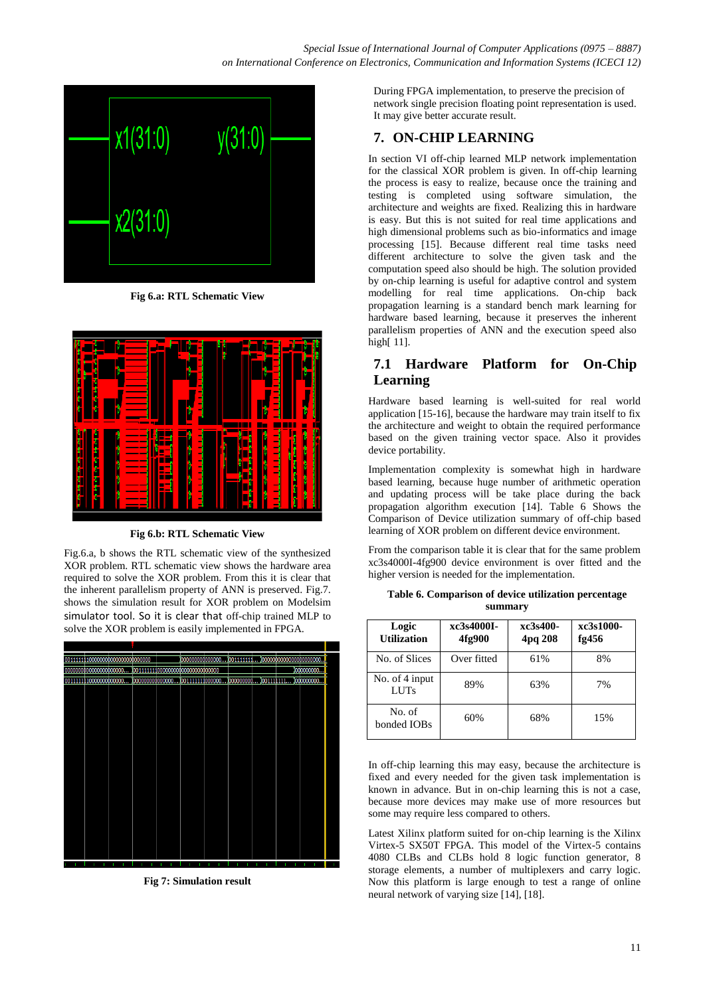

**Fig 6.a: RTL Schematic View**



**Fig 6.b: RTL Schematic View**

Fig.6.a, b shows the RTL schematic view of the synthesized XOR problem. RTL schematic view shows the hardware area required to solve the XOR problem. From this it is clear that the inherent parallelism property of ANN is preserved. Fig.7. shows the simulation result for XOR problem on Modelsim simulator tool. So it is clear that off-chip trained MLP to solve the XOR problem is easily implemented in FPGA.



**Fig 7: Simulation result**

During FPGA implementation, to preserve the precision of network single precision floating point representation is used. It may give better accurate result.

## **7. ON-CHIP LEARNING**

In section VI off-chip learned MLP network implementation for the classical XOR problem is given. In off-chip learning the process is easy to realize, because once the training and testing is completed using software simulation, the architecture and weights are fixed. Realizing this in hardware is easy. But this is not suited for real time applications and high dimensional problems such as bio-informatics and image processing [15]. Because different real time tasks need different architecture to solve the given task and the computation speed also should be high. The solution provided by on-chip learning is useful for adaptive control and system modelling for real time applications. On-chip back propagation learning is a standard bench mark learning for hardware based learning, because it preserves the inherent parallelism properties of ANN and the execution speed also high[ 11].

# **7.1 Hardware Platform for On-Chip Learning**

Hardware based learning is well-suited for real world application [15-16], because the hardware may train itself to fix the architecture and weight to obtain the required performance based on the given training vector space. Also it provides device portability.

Implementation complexity is somewhat high in hardware based learning, because huge number of arithmetic operation and updating process will be take place during the back propagation algorithm execution [14]. Table 6 Shows the Comparison of Device utilization summary of off-chip based learning of XOR problem on different device environment.

From the comparison table it is clear that for the same problem xc3s4000I-4fg900 device environment is over fitted and the higher version is needed for the implementation.

| Logic<br><b>Utilization</b>   | xc3s4000I-<br>4fg900 | xc3s400-<br>4pq 208 | xc3s1000-<br>fg $456$ |
|-------------------------------|----------------------|---------------------|-----------------------|
| No. of Slices                 | Over fitted          | 61%                 | 8%                    |
| No. of 4 input<br><b>LUTs</b> | 89%                  | 63%                 | 7%                    |
| No. of<br>bonded IOBs         | 60%                  | 68%                 | 15%                   |

**Table 6. Comparison of device utilization percentage summary**

In off-chip learning this may easy, because the architecture is fixed and every needed for the given task implementation is known in advance. But in on-chip learning this is not a case, because more devices may make use of more resources but some may require less compared to others.

Latest Xilinx platform suited for on-chip learning is the Xilinx Virtex-5 SX50T FPGA. This model of the Virtex-5 contains 4080 CLBs and CLBs hold 8 logic function generator, 8 storage elements, a number of multiplexers and carry logic. Now this platform is large enough to test a range of online neural network of varying size [14], [18].